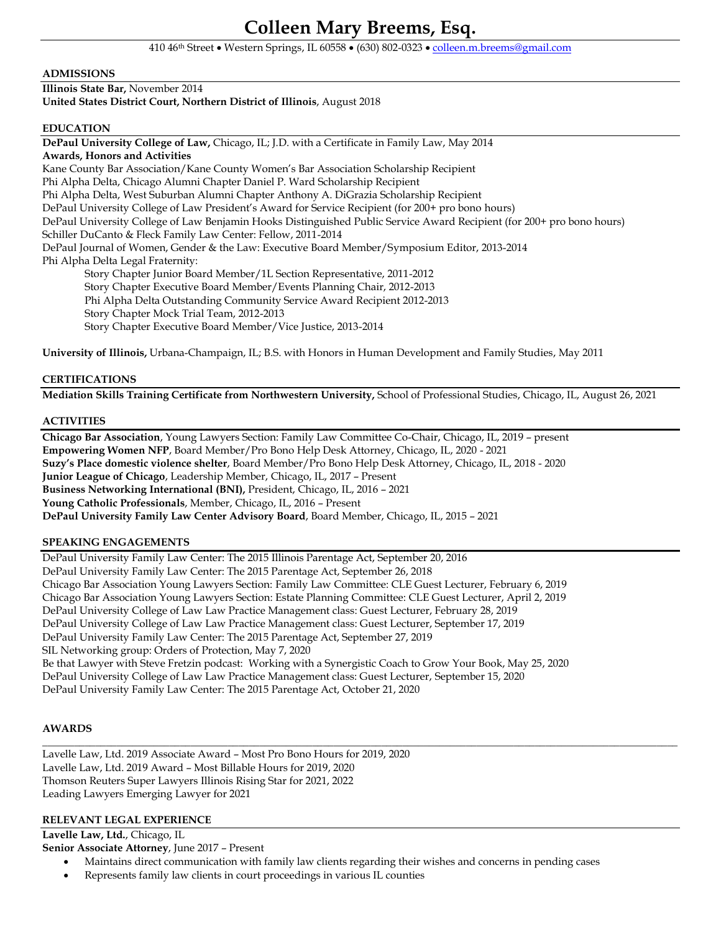# **Colleen Mary Breems, Esq.**

410 46th Street Western Springs, IL 60558 (630) 802-0323 [colleen.m.breems@gmail.com](mailto:colleen.m.breems@gmail.com)

### **ADMISSIONS**

**Illinois State Bar,** November 2014 **United States District Court, Northern District of Illinois**, August 2018

### **EDUCATION**

**DePaul University College of Law,** Chicago, IL; J.D. with a Certificate in Family Law, May 2014 **Awards, Honors and Activities** Kane County Bar Association/Kane County Women's Bar Association Scholarship Recipient Phi Alpha Delta, Chicago Alumni Chapter Daniel P. Ward Scholarship Recipient Phi Alpha Delta, West Suburban Alumni Chapter Anthony A. DiGrazia Scholarship Recipient DePaul University College of Law President's Award for Service Recipient (for 200+ pro bono hours) DePaul University College of Law Benjamin Hooks Distinguished Public Service Award Recipient (for 200+ pro bono hours) Schiller DuCanto & Fleck Family Law Center: Fellow, 2011-2014 DePaul Journal of Women, Gender & the Law: Executive Board Member/Symposium Editor, 2013-2014 Phi Alpha Delta Legal Fraternity: Story Chapter Junior Board Member/1L Section Representative, 2011-2012 Story Chapter Executive Board Member/Events Planning Chair, 2012-2013 Phi Alpha Delta Outstanding Community Service Award Recipient 2012-2013 Story Chapter Mock Trial Team, 2012-2013

Story Chapter Executive Board Member/Vice Justice, 2013-2014

**University of Illinois,** Urbana-Champaign, IL; B.S. with Honors in Human Development and Family Studies, May 2011

### **CERTIFICATIONS**

**Mediation Skills Training Certificate from Northwestern University,** School of Professional Studies, Chicago, IL, August 26, 2021

### **ACTIVITIES**

**Chicago Bar Association**, Young Lawyers Section: Family Law Committee Co-Chair, Chicago, IL, 2019 – present **Empowering Women NFP**, Board Member/Pro Bono Help Desk Attorney, Chicago, IL, 2020 - 2021 **Suzy's Place domestic violence shelter**, Board Member/Pro Bono Help Desk Attorney, Chicago, IL, 2018 - 2020 **Junior League of Chicago**, Leadership Member, Chicago, IL, 2017 – Present **Business Networking International (BNI),** President, Chicago, IL, 2016 – 2021 **Young Catholic Professionals**, Member, Chicago, IL, 2016 – Present **DePaul University Family Law Center Advisory Board**, Board Member, Chicago, IL, 2015 – 2021

### **SPEAKING ENGAGEMENTS**

DePaul University Family Law Center: The 2015 Illinois Parentage Act, September 20, 2016 DePaul University Family Law Center: The 2015 Parentage Act, September 26, 2018 Chicago Bar Association Young Lawyers Section: Family Law Committee: CLE Guest Lecturer, February 6, 2019 Chicago Bar Association Young Lawyers Section: Estate Planning Committee: CLE Guest Lecturer, April 2, 2019 DePaul University College of Law Law Practice Management class: Guest Lecturer, February 28, 2019 DePaul University College of Law Law Practice Management class: Guest Lecturer, September 17, 2019 DePaul University Family Law Center: The 2015 Parentage Act, September 27, 2019 SIL Networking group: Orders of Protection, May 7, 2020 Be that Lawyer with Steve Fretzin podcast: Working with a Synergistic Coach to Grow Your Book, May 25, 2020 DePaul University College of Law Law Practice Management class: Guest Lecturer, September 15, 2020 DePaul University Family Law Center: The 2015 Parentage Act, October 21, 2020

### **AWARDS**

Lavelle Law, Ltd. 2019 Associate Award – Most Pro Bono Hours for 2019, 2020 Lavelle Law, Ltd. 2019 Award – Most Billable Hours for 2019, 2020 Thomson Reuters Super Lawyers Illinois Rising Star for 2021, 2022 Leading Lawyers Emerging Lawyer for 2021

### **RELEVANT LEGAL EXPERIENCE**

**Lavelle Law, Ltd.**, Chicago, IL

**Senior Associate Attorney**, June 2017 – Present

Maintains direct communication with family law clients regarding their wishes and concerns in pending cases

**\_\_\_\_\_\_\_\_\_\_\_\_\_\_\_\_\_\_\_\_\_\_\_\_\_\_\_\_\_\_\_\_\_\_\_\_\_\_\_\_\_\_\_\_\_\_\_\_\_\_\_\_\_\_\_\_\_\_\_\_\_\_\_\_\_\_\_\_\_\_\_\_\_\_\_\_\_\_\_\_\_\_\_\_\_\_\_\_\_\_\_\_\_\_\_\_\_\_\_\_\_\_\_\_\_\_\_\_\_\_\_\_\_\_\_\_\_\_\_\_**

Represents family law clients in court proceedings in various IL counties